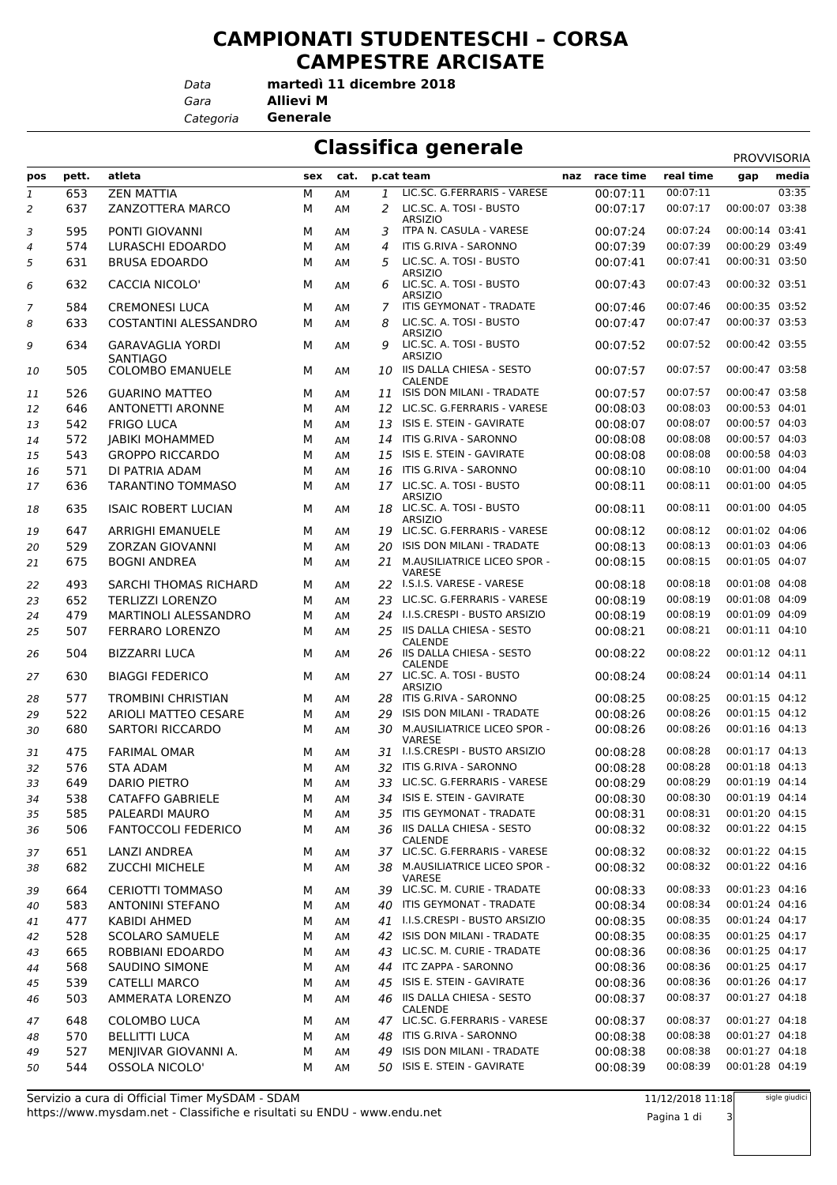## **CAMPIONATI STUDENTESCHI – CORSA CAMPESTRE ARCISATE**

*Data*

*Gara* **Allievi M martedì 11 dicembre 2018**

*Categoria* **Generale**

| <b>Classifica generale</b><br>PROVVISORIA |       |                                            |     |      |    |                                                             |     |           |           |                |       |
|-------------------------------------------|-------|--------------------------------------------|-----|------|----|-------------------------------------------------------------|-----|-----------|-----------|----------------|-------|
| pos                                       | pett. | atleta                                     | sex | cat. |    | p.cat team                                                  | naz | race time | real time | gap            | media |
| $\mathbf{1}$                              | 653   | <b>ZEN MATTIA</b>                          | M   | AM   | 1  | LIC.SC. G.FERRARIS - VARESE                                 |     | 00:07:11  | 00:07:11  |                | 03:35 |
| 2                                         | 637   | ZANZOTTERA MARCO                           | M   | AM   | 2  | LIC.SC. A. TOSI - BUSTO<br><b>ARSIZIO</b>                   |     | 00:07:17  | 00:07:17  | 00:00:07       | 03:38 |
| 3                                         | 595   | PONTI GIOVANNI                             | M   | AM   | 3  | ITPA N. CASULA - VARESE                                     |     | 00:07:24  | 00:07:24  | 00:00:14 03:41 |       |
| 4                                         | 574   | LURASCHI EDOARDO                           | M   | AМ   | 4  | ITIS G.RIVA - SARONNO                                       |     | 00:07:39  | 00:07:39  | 00:00:29 03:49 |       |
| 5                                         | 631   | <b>BRUSA EDOARDO</b>                       | М   | AM   | 5  | LIC.SC. A. TOSI - BUSTO                                     |     | 00:07:41  | 00:07:41  | 00:00:31 03:50 |       |
| 6                                         | 632   | <b>CACCIA NICOLO'</b>                      | М   | ΑМ   | 6  | <b>ARSIZIO</b><br>LIC.SC. A. TOSI - BUSTO<br><b>ARSIZIO</b> |     | 00:07:43  | 00:07:43  | 00:00:32 03:51 |       |
| 7                                         | 584   | <b>CREMONESI LUCA</b>                      | M   | AМ   | 7  | ITIS GEYMONAT - TRADATE                                     |     | 00:07:46  | 00:07:46  | 00:00:35 03:52 |       |
| 8                                         | 633   | <b>COSTANTINI ALESSANDRO</b>               | М   | AM   | 8  | LIC.SC. A. TOSI - BUSTO                                     |     | 00:07:47  | 00:07:47  | 00:00:37 03:53 |       |
| 9                                         | 634   | <b>GARAVAGLIA YORDI</b>                    | М   | AM   | 9  | <b>ARSIZIO</b><br>LIC.SC. A. TOSI - BUSTO<br><b>ARSIZIO</b> |     | 00:07:52  | 00:07:52  | 00:00:42 03:55 |       |
| 10                                        | 505   | <b>SANTIAGO</b><br><b>COLOMBO EMANUELE</b> | м   | AM   |    | 10 IIS DALLA CHIESA - SESTO<br><b>CALENDE</b>               |     | 00:07:57  | 00:07:57  | 00:00:47 03:58 |       |
| 11                                        | 526   | <b>GUARINO MATTEO</b>                      | М   | AM   |    | 11 ISIS DON MILANI - TRADATE                                |     | 00:07:57  | 00:07:57  | 00:00:47 03:58 |       |
| 12                                        | 646   | <b>ANTONETTI ARONNE</b>                    | М   | AM   | 12 | LIC.SC. G.FERRARIS - VARESE                                 |     | 00:08:03  | 00:08:03  | 00:00:53 04:01 |       |
| 13                                        | 542   | <b>FRIGO LUCA</b>                          | M   | AМ   | 13 | ISIS E. STEIN - GAVIRATE                                    |     | 00:08:07  | 00:08:07  | 00:00:57 04:03 |       |
| 14                                        | 572   | <b>JABIKI MOHAMMED</b>                     | М   | AM   |    | 14 ITIS G.RIVA - SARONNO                                    |     | 00:08:08  | 00:08:08  | 00:00:57 04:03 |       |
| 15                                        | 543   | <b>GROPPO RICCARDO</b>                     | М   | AM   | 15 | ISIS E. STEIN - GAVIRATE                                    |     | 00:08:08  | 00:08:08  | 00:00:58 04:03 |       |
| 16                                        | 571   | DI PATRIA ADAM                             | М   | AМ   | 16 | ITIS G.RIVA - SARONNO                                       |     | 00:08:10  | 00:08:10  | 00:01:00 04:04 |       |
|                                           | 636   | <b>TARANTINO TOMMASO</b>                   | М   | AM   |    | 17 LIC.SC. A. TOSI - BUSTO                                  |     | 00:08:11  | 00:08:11  | 00:01:00 04:05 |       |
| 17<br>18                                  | 635   | <b>ISAIC ROBERT LUCIAN</b>                 | м   | ΑМ   |    | <b>ARSIZIO</b><br>18 LIC.SC. A. TOSI - BUSTO                |     | 00:08:11  | 00:08:11  | 00:01:00 04:05 |       |
|                                           |       |                                            |     |      |    | <b>ARSIZIO</b><br>LIC.SC. G.FERRARIS - VARESE               |     |           | 00:08:12  | 00:01:02 04:06 |       |
| 19                                        | 647   | <b>ARRIGHI EMANUELE</b>                    | М   | AM   | 19 |                                                             |     | 00:08:12  |           |                |       |
| 20                                        | 529   | <b>ZORZAN GIOVANNI</b>                     | M   | AM   | 20 | ISIS DON MILANI - TRADATE                                   |     | 00:08:13  | 00:08:13  | 00:01:03 04:06 |       |
| 21                                        | 675   | <b>BOGNI ANDREA</b>                        | M   | AM   |    | 21 M.AUSILIATRICE LICEO SPOR -<br><b>VARESE</b>             |     | 00:08:15  | 00:08:15  | 00:01:05 04:07 |       |
| 22                                        | 493   | SARCHI THOMAS RICHARD                      | М   | ΑМ   |    | 22 I.S.I.S. VARESE - VARESE                                 |     | 00:08:18  | 00:08:18  | 00:01:08 04:08 |       |
| 23                                        | 652   | <b>TERLIZZI LORENZO</b>                    | M   | AM   | 23 | LIC.SC. G.FERRARIS - VARESE                                 |     | 00:08:19  | 00:08:19  | 00:01:08 04:09 |       |
| 24                                        | 479   | MARTINOLI ALESSANDRO                       | М   | AM   |    | 24 I.I.S.CRESPI - BUSTO ARSIZIO                             |     | 00:08:19  | 00:08:19  | 00:01:09 04:09 |       |
| 25                                        | 507   | <b>FERRARO LORENZO</b>                     | M   | AM   |    | 25 IIS DALLA CHIESA - SESTO<br>CALENDE                      |     | 00:08:21  | 00:08:21  | 00:01:11 04:10 |       |
| 26                                        | 504   | <b>BIZZARRI LUCA</b>                       | M   | AМ   |    | 26 IIS DALLA CHIESA - SESTO<br><b>CALENDE</b>               |     | 00:08:22  | 00:08:22  | 00:01:12 04:11 |       |
| 27                                        | 630   | <b>BIAGGI FEDERICO</b>                     | м   | AM   |    | 27 LIC.SC. A. TOSI - BUSTO<br><b>ARSIZIO</b>                |     | 00:08:24  | 00:08:24  | 00:01:14 04:11 |       |
| 28                                        | 577   | <b>TROMBINI CHRISTIAN</b>                  | М   | ΑМ   |    | 28 ITIS G.RIVA - SARONNO                                    |     | 00:08:25  | 00:08:25  | 00:01:15 04:12 |       |
| 29                                        | 522   | <b>ARIOLI MATTEO CESARE</b>                | М   | AМ   | 29 | ISIS DON MILANI - TRADATE                                   |     | 00:08:26  | 00:08:26  | 00:01:15 04:12 |       |
| 30                                        | 680   | <b>SARTORI RICCARDO</b>                    | М   | AM   |    | 30 M.AUSILIATRICE LICEO SPOR -<br><b>VARESE</b>             |     | 00:08:26  | 00:08:26  | 00:01:16 04:13 |       |
| 31                                        | 475   | <b>FARIMAL OMAR</b>                        | M   | AМ   |    | 31 I.I.S.CRESPI - BUSTO ARSIZIO                             |     | 00:08:28  | 00:08:28  | 00:01:17 04:13 |       |
| 32                                        | 576   | <b>STA ADAM</b>                            | М   | AM   |    | 32 ITIS G.RIVA - SARONNO                                    |     | 00:08:28  | 00:08:28  | 00:01:18 04:13 |       |
| 33                                        | 649   | <b>DARIO PIETRO</b>                        | М   | АM   |    | 33 LIC.SC. G.FERRARIS - VARESE                              |     | 00:08:29  | 00:08:29  | 00:01:19 04:14 |       |
| 34                                        | 538   | <b>CATAFFO GABRIELE</b>                    | М   | AM   |    | 34 ISIS E. STEIN - GAVIRATE                                 |     | 00:08:30  | 00:08:30  | 00:01:19 04:14 |       |
| 35                                        | 585   | PALEARDI MAURO                             | М   | AM   |    | 35 ITIS GEYMONAT - TRADATE                                  |     | 00:08:31  | 00:08:31  | 00:01:20 04:15 |       |
| 36                                        | 506   | <b>FANTOCCOLI FEDERICO</b>                 | М   | AМ   |    | 36 IIS DALLA CHIESA - SESTO<br>CALENDE                      |     | 00:08:32  | 00:08:32  | 00:01:22 04:15 |       |
| 37                                        | 651   | LANZI ANDREA                               | М   | АM   |    | 37 LIC.SC. G.FERRARIS - VARESE                              |     | 00:08:32  | 00:08:32  | 00:01:22 04:15 |       |
| 38                                        | 682   | <b>ZUCCHI MICHELE</b>                      | М   | AM   |    | 38 M.AUSILIATRICE LICEO SPOR -<br>VARESE                    |     | 00:08:32  | 00:08:32  | 00:01:22 04:16 |       |
| 39                                        | 664   | <b>CERIOTTI TOMMASO</b>                    | М   | ΑМ   |    | 39 LIC.SC. M. CURIE - TRADATE                               |     | 00:08:33  | 00:08:33  | 00:01:23 04:16 |       |
| 40                                        | 583   | <b>ANTONINI STEFANO</b>                    | М   | AМ   |    | 40 ITIS GEYMONAT - TRADATE                                  |     | 00:08:34  | 00:08:34  | 00:01:24 04:16 |       |
| 41                                        | 477   | KABIDI AHMED                               | М   | AМ   |    | 41 I.I.S.CRESPI - BUSTO ARSIZIO                             |     | 00:08:35  | 00:08:35  | 00:01:24 04:17 |       |
| 42                                        | 528   | SCOLARO SAMUELE                            | М   | AM   |    | 42 ISIS DON MILANI - TRADATE                                |     | 00:08:35  | 00:08:35  | 00:01:25 04:17 |       |
| 43                                        | 665   | ROBBIANI EDOARDO                           | М   | AM   | 43 | LIC.SC. M. CURIE - TRADATE                                  |     | 00:08:36  | 00:08:36  | 00:01:25 04:17 |       |
| 44                                        | 568   | SAUDINO SIMONE                             | М   | AМ   |    | 44 ITC ZAPPA - SARONNO                                      |     | 00:08:36  | 00:08:36  | 00:01:25 04:17 |       |
| 45                                        | 539   | <b>CATELLI MARCO</b>                       | М   | АM   |    | 45 ISIS E. STEIN - GAVIRATE                                 |     | 00:08:36  | 00:08:36  | 00:01:26 04:17 |       |
| 46                                        | 503   | AMMERATA LORENZO                           | М   | AМ   |    | 46 IIS DALLA CHIESA - SESTO<br>CALENDE                      |     | 00:08:37  | 00:08:37  | 00:01:27 04:18 |       |
| 47                                        | 648   | <b>COLOMBO LUCA</b>                        | М   | АM   |    | 47 LIC.SC. G.FERRARIS - VARESE                              |     | 00:08:37  | 00:08:37  | 00:01:27 04:18 |       |
| 48                                        | 570   | <b>BELLITTI LUCA</b>                       | М   | AM   |    | 48 ITIS G.RIVA - SARONNO                                    |     | 00:08:38  | 00:08:38  | 00:01:27 04:18 |       |
| 49                                        | 527   | MENJIVAR GIOVANNI A.                       | М   | AМ   |    | 49 ISIS DON MILANI - TRADATE                                |     | 00:08:38  | 00:08:38  | 00:01:27 04:18 |       |
| 50                                        | 544   | <b>OSSOLA NICOLO'</b>                      | М   | AМ   |    | 50 ISIS E. STEIN - GAVIRATE                                 |     | 00:08:39  | 00:08:39  | 00:01:28 04:19 |       |
|                                           |       |                                            |     |      |    |                                                             |     |           |           |                |       |

11/12/2018 11:18

Pagina 1 di 3

sigle giudici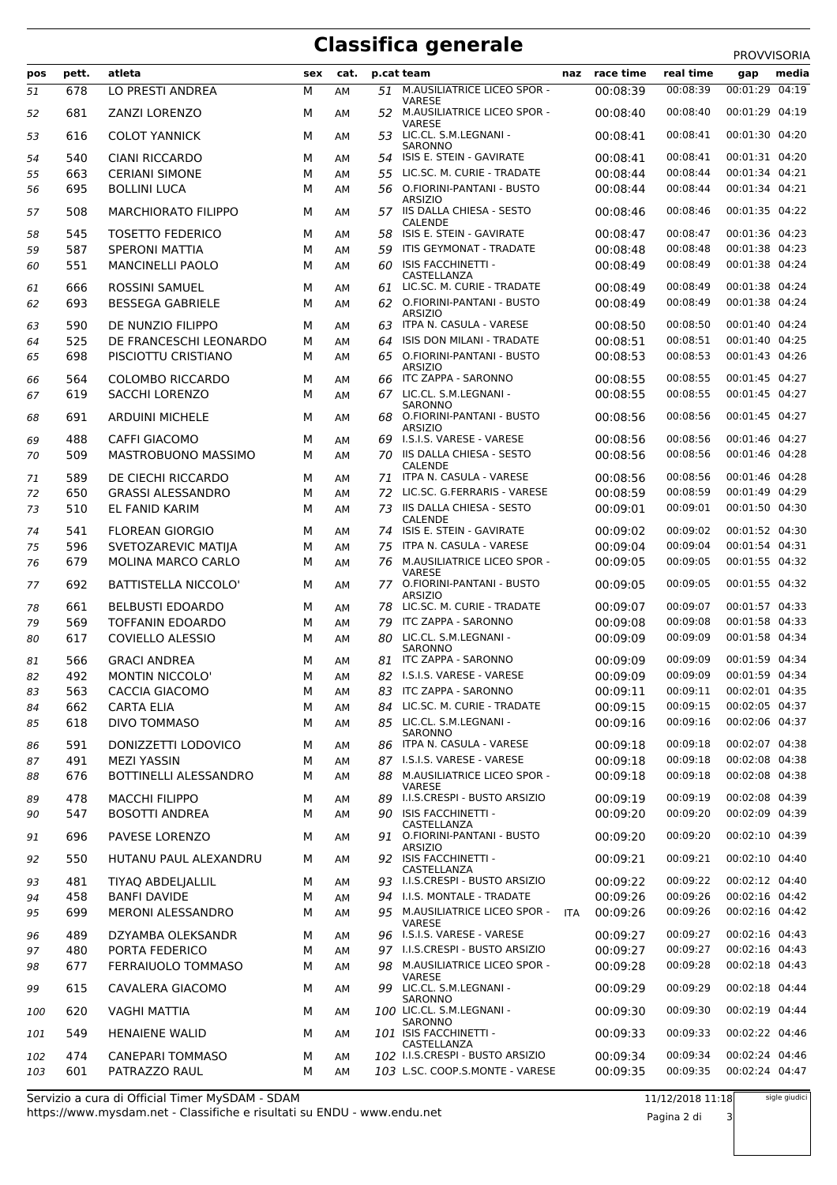## **Classifica generale** PROVISORIA

|     |       |                            |     |      |     |                                                   |            |           |           | <b>PROVVISORIA</b> |
|-----|-------|----------------------------|-----|------|-----|---------------------------------------------------|------------|-----------|-----------|--------------------|
| pos | pett. | atleta                     | sex | cat. |     | p.cat team                                        | naz        | race time | real time | media<br>gap       |
| 51  | 678   | LO PRESTI ANDREA           | М   | AM   |     | 51 M.AUSILIATRICE LICEO SPOR -                    |            | 00:08:39  | 00:08:39  | 00:01:29 04:19     |
| 52  | 681   | <b>ZANZI LORENZO</b>       | м   | AM   | 52  | <b>VARESE</b><br>M.AUSILIATRICE LICEO SPOR -      |            | 00:08:40  | 00:08:40  | 00:01:29 04:19     |
| 53  | 616   | <b>COLOT YANNICK</b>       | M   | AM   | 53. | VARESE<br>LIC.CL. S.M.LEGNANI -<br><b>SARONNO</b> |            | 00:08:41  | 00:08:41  | 00:01:30 04:20     |
| 54  | 540   | <b>CIANI RICCARDO</b>      | M   | AM   |     | 54 ISIS E. STEIN - GAVIRATE                       |            | 00:08:41  | 00:08:41  | 00:01:31 04:20     |
| 55  | 663   | <b>CERIANI SIMONE</b>      | M   | AM   | 55  | LIC.SC. M. CURIE - TRADATE                        |            | 00:08:44  | 00:08:44  | 00:01:34 04:21     |
| 56  | 695   | <b>BOLLINI LUCA</b>        | М   | AM   |     | 56 O.FIORINI-PANTANI - BUSTO                      |            | 00:08:44  | 00:08:44  | 00:01:34 04:21     |
|     |       |                            |     |      |     | <b>ARSIZIO</b>                                    |            |           |           |                    |
| 57  | 508   | <b>MARCHIORATO FILIPPO</b> | М   | AM   |     | 57 IIS DALLA CHIESA - SESTO<br>CALENDE            |            | 00:08:46  | 00:08:46  | 00:01:35 04:22     |
| 58  | 545   | <b>TOSETTO FEDERICO</b>    | M   | AM   | 58. | ISIS E. STEIN - GAVIRATE                          |            | 00:08:47  | 00:08:47  | 00:01:36 04:23     |
| 59  | 587   | <b>SPERONI MATTIA</b>      | M   | AM   | 59  | ITIS GEYMONAT - TRADATE                           |            | 00:08:48  | 00:08:48  | 00:01:38 04:23     |
| 60  | 551   | <b>MANCINELLI PAOLO</b>    | М   | AM   | 60  | ISIS FACCHINETTI -<br>CASTELLANZA                 |            | 00:08:49  | 00:08:49  | 00:01:38 04:24     |
| 61  | 666   | <b>ROSSINI SAMUEL</b>      | М   | AM   | 61  | LIC.SC. M. CURIE - TRADATE                        |            | 00:08:49  | 00:08:49  | 00:01:38 04:24     |
| 62  | 693   | <b>BESSEGA GABRIELE</b>    | м   | AM   |     | 62 O.FIORINI-PANTANI - BUSTO<br><b>ARSIZIO</b>    |            | 00:08:49  | 00:08:49  | 00:01:38 04:24     |
| 63  | 590   | DE NUNZIO FILIPPO          | M   | AM   | 63  | ITPA N. CASULA - VARESE                           |            | 00:08:50  | 00:08:50  | 00:01:40 04:24     |
| 64  | 525   | DE FRANCESCHI LEONARDO     | м   | AM   | 64  | ISIS DON MILANI - TRADATE                         |            | 00:08:51  | 00:08:51  | 00:01:40 04:25     |
| 65  | 698   | PISCIOTTU CRISTIANO        | M   | AM   | 65  | O.FIORINI-PANTANI - BUSTO                         |            | 00:08:53  | 00:08:53  | 00:01:43 04:26     |
|     |       |                            |     |      |     | <b>ARSIZIO</b>                                    |            |           |           |                    |
| 66  | 564   | COLOMBO RICCARDO           | м   | AM   | 66  | ITC ZAPPA - SARONNO                               |            | 00:08:55  | 00:08:55  | 00:01:45 04:27     |
| 67  | 619   | <b>SACCHI LORENZO</b>      | M   | AM   |     | 67 LIC.CL. S.M.LEGNANI -<br>SARONNO               |            | 00:08:55  | 00:08:55  | 00:01:45 04:27     |
| 68  | 691   | <b>ARDUINI MICHELE</b>     | м   | AM   | 68  | O.FIORINI-PANTANI - BUSTO<br><b>ARSIZIO</b>       |            | 00:08:56  | 00:08:56  | 00:01:45 04:27     |
| 69  | 488   | <b>CAFFI GIACOMO</b>       | М   | AM   | 69  | I.S.I.S. VARESE - VARESE                          |            | 00:08:56  | 00:08:56  | 00:01:46 04:27     |
| 70  | 509   | MASTROBUONO MASSIMO        | М   | AM   |     | 70 IIS DALLA CHIESA - SESTO                       |            | 00:08:56  | 00:08:56  | 00:01:46 04:28     |
|     |       |                            |     |      |     | <b>CALENDE</b>                                    |            |           |           |                    |
| 71  | 589   | DE CIECHI RICCARDO         | М   | AM   | 71  | ITPA N. CASULA - VARESE                           |            | 00:08:56  | 00:08:56  | 00:01:46 04:28     |
| 72  | 650   | <b>GRASSI ALESSANDRO</b>   | М   | AM   | 72  | LIC.SC. G.FERRARIS - VARESE                       |            | 00:08:59  | 00:08:59  | 00:01:49 04:29     |
| 73  | 510   | EL FANID KARIM             | M   | AM   | 73  | IIS DALLA CHIESA - SESTO<br><b>CALENDE</b>        |            | 00:09:01  | 00:09:01  | 00:01:50 04:30     |
| 74  | 541   | <b>FLOREAN GIORGIO</b>     | м   | AM   |     | 74 ISIS E. STEIN - GAVIRATE                       |            | 00:09:02  | 00:09:02  | 00:01:52 04:30     |
| 75  | 596   | SVETOZAREVIC MATIJA        | M   | AM   | 75  | ITPA N. CASULA - VARESE                           |            | 00:09:04  | 00:09:04  | 00:01:54 04:31     |
| 76  | 679   | MOLINA MARCO CARLO         | M   | AM   |     | 76 M.AUSILIATRICE LICEO SPOR -                    |            | 00:09:05  | 00:09:05  | 00:01:55 04:32     |
| 77  | 692   | BATTISTELLA NICCOLO'       | М   | AM   |     | VARESE<br>77 O.FIORINI-PANTANI - BUSTO            |            | 00:09:05  | 00:09:05  | 00:01:55 04:32     |
| 78  | 661   | <b>BELBUSTI EDOARDO</b>    | м   | AM   |     | <b>ARSIZIO</b><br>78 LIC.SC. M. CURIE - TRADATE   |            | 00:09:07  | 00:09:07  | 00:01:57 04:33     |
| 79  | 569   | <b>TOFFANIN EDOARDO</b>    | M   | AM   | 79  | ITC ZAPPA - SARONNO                               |            | 00:09:08  | 00:09:08  | 00:01:58 04:33     |
| 80  | 617   | <b>COVIELLO ALESSIO</b>    | М   | AM   | 80  | LIC.CL. S.M.LEGNANI -                             |            | 00:09:09  | 00:09:09  | 00:01:58 04:34     |
|     |       |                            |     |      |     | SARONNO                                           |            |           |           |                    |
| 81  | 566   | <b>GRACI ANDREA</b>        | М   | AM   | 81  | ITC ZAPPA - SARONNO                               |            | 00:09:09  | 00:09:09  | 00:01:59 04:34     |
| 82  | 492   | <b>MONTIN NICCOLO'</b>     | M   | AM   |     | 82 I.S.I.S. VARESE - VARESE                       |            | 00:09:09  | 00:09:09  | 00:01:59 04:34     |
| 83  | 563   | CACCIA GIACOMO             | М   | AМ   |     | 83 ITC ZAPPA - SARONNO                            |            | 00:09:11  | 00:09:11  | 00:02:01 04:35     |
| 84  | 662   | CARTA ELIA                 | M   | AM   |     | 84 LIC.SC. M. CURIE - TRADATE                     |            | 00:09:15  | 00:09:15  | 00:02:05 04:37     |
| 85  | 618   | DIVO TOMMASO               | М   | AM   |     | 85 LIC.CL. S.M.LEGNANI -<br>SARONNO               |            | 00:09:16  | 00:09:16  | 00:02:06 04:37     |
| 86  | 591   | DONIZZETTI LODOVICO        | м   | AM   |     | 86 ITPA N. CASULA - VARESE                        |            | 00:09:18  | 00:09:18  | 00:02:07 04:38     |
| 87  | 491   | <b>MEZI YASSIN</b>         | М   | AM   |     | 87 I.S.I.S. VARESE - VARESE                       |            | 00:09:18  | 00:09:18  | 00:02:08 04:38     |
| 88  | 676   | BOTTINELLI ALESSANDRO      | М   | AM   |     | 88 M.AUSILIATRICE LICEO SPOR -<br><b>VARESE</b>   |            | 00:09:18  | 00:09:18  | 00:02:08 04:38     |
| 89  | 478   | <b>MACCHI FILIPPO</b>      | М   | AM   |     | 89 I.I.S.CRESPI - BUSTO ARSIZIO                   |            | 00:09:19  | 00:09:19  | 00:02:08 04:39     |
| 90  | 547   | <b>BOSOTTI ANDREA</b>      | м   | AM   |     | 90 ISIS FACCHINETTI -                             |            | 00:09:20  | 00:09:20  | 00:02:09 04:39     |
| 91  | 696   | PAVESE LORENZO             | М   | AM   |     | CASTELLANZA<br>91 O.FIORINI-PANTANI - BUSTO       |            | 00:09:20  | 00:09:20  | 00:02:10 04:39     |
| 92  | 550   | HUTANU PAUL ALEXANDRU      | м   | AM   |     | <b>ARSIZIO</b><br>92 ISIS FACCHINETTI -           |            | 00:09:21  | 00:09:21  | 00:02:10 04:40     |
| 93  | 481   | TIYAQ ABDELJALLIL          | М   | AM   |     | CASTELLANZA<br>93 I.I.S.CRESPI - BUSTO ARSIZIO    |            | 00:09:22  | 00:09:22  | 00:02:12 04:40     |
| 94  | 458   | <b>BANFI DAVIDE</b>        | М   | AM   |     | 94 I.I.S. MONTALE - TRADATE                       |            | 00:09:26  | 00:09:26  | 00:02:16 04:42     |
|     | 699   | MERONI ALESSANDRO          | М   |      |     | 95 M.AUSILIATRICE LICEO SPOR -                    |            | 00:09:26  | 00:09:26  | 00:02:16 04:42     |
| 95  |       |                            |     | AM   |     | VARESE                                            | <b>ITA</b> |           |           |                    |
| 96  | 489   | DZYAMBA OLEKSANDR          | м   | AM   |     | 96 I.S.I.S. VARESE - VARESE                       |            | 00:09:27  | 00:09:27  | 00:02:16 04:43     |
| 97  | 480   | PORTA FEDERICO             | М   | AM   |     | 97 I.I.S.CRESPI - BUSTO ARSIZIO                   |            | 00:09:27  | 00:09:27  | 00:02:16 04:43     |
| 98  | 677   | FERRAIUOLO TOMMASO         | м   | AM   |     | 98 M.AUSILIATRICE LICEO SPOR -<br>VARESE          |            | 00:09:28  | 00:09:28  | 00:02:18 04:43     |
| 99  | 615   | CAVALERA GIACOMO           | М   | AM   |     | 99 LIC.CL. S.M.LEGNANI -<br>SARONNO               |            | 00:09:29  | 00:09:29  | 00:02:18 04:44     |
| 100 | 620   | VAGHI MATTIA               | м   | AM   |     | 100 LIC.CL. S.M.LEGNANI -<br>SARONNO              |            | 00:09:30  | 00:09:30  | 00:02:19 04:44     |
| 101 | 549   | <b>HENAIENE WALID</b>      | м   | AM   |     | 101 ISIS FACCHINETTI -<br>CASTELLANZA             |            | 00:09:33  | 00:09:33  | 00:02:22 04:46     |
| 102 | 474   | <b>CANEPARI TOMMASO</b>    | М   | AM   |     | 102 I.I.S.CRESPI - BUSTO ARSIZIO                  |            | 00:09:34  | 00:09:34  | 00:02:24 04:46     |
| 103 | 601   | PATRAZZO RAUL              | М   | AM   |     | 103 L.SC. COOP.S.MONTE - VARESE                   |            | 00:09:35  | 00:09:35  | 00:02:24 04:47     |

Pagina 2 di 3

sigle giudici